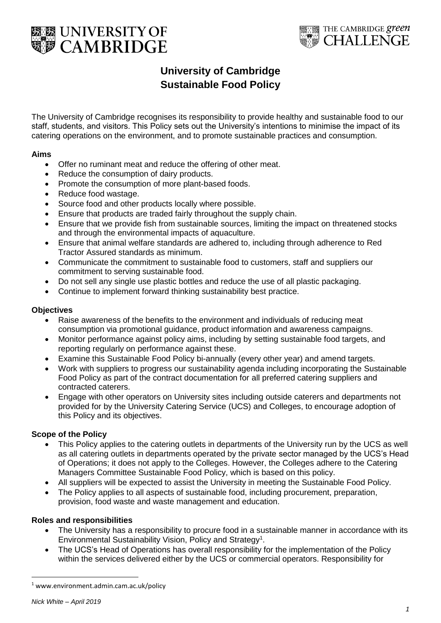



# **University of Cambridge Sustainable Food Policy**

The University of Cambridge recognises its responsibility to provide healthy and sustainable food to our staff, students, and visitors. This Policy sets out the University's intentions to minimise the impact of its catering operations on the environment, and to promote sustainable practices and consumption.

# **Aims**

- Offer no ruminant meat and reduce the offering of other meat.
- Reduce the consumption of dairy products.
- Promote the consumption of more plant-based foods.
- Reduce food wastage.
- Source food and other products locally where possible.
- Ensure that products are traded fairly throughout the supply chain.
- Ensure that we provide fish from sustainable sources, limiting the impact on threatened stocks and through the environmental impacts of aquaculture.
- Ensure that animal welfare standards are adhered to, including through adherence to Red Tractor Assured standards as minimum.
- Communicate the commitment to sustainable food to customers, staff and suppliers our commitment to serving sustainable food.
- Do not sell any single use plastic bottles and reduce the use of all plastic packaging.
- Continue to implement forward thinking sustainability best practice.

# **Objectives**

- Raise awareness of the benefits to the environment and individuals of reducing meat consumption via promotional guidance, product information and awareness campaigns.
- Monitor performance against policy aims, including by setting sustainable food targets, and reporting regularly on performance against these.
- Examine this Sustainable Food Policy bi-annually (every other year) and amend targets.
- Work with suppliers to progress our sustainability agenda including incorporating the Sustainable Food Policy as part of the contract documentation for all preferred catering suppliers and contracted caterers.
- Engage with other operators on University sites including outside caterers and departments not provided for by the University Catering Service (UCS) and Colleges, to encourage adoption of this Policy and its objectives.

# **Scope of the Policy**

- This Policy applies to the catering outlets in departments of the University run by the UCS as well as all catering outlets in departments operated by the private sector managed by the UCS's Head of Operations; it does not apply to the Colleges. However, the Colleges adhere to the Catering Managers Committee Sustainable Food Policy, which is based on this policy.
- All suppliers will be expected to assist the University in meeting the Sustainable Food Policy.
- The Policy applies to all aspects of sustainable food, including procurement, preparation, provision, food waste and waste management and education.

# **Roles and responsibilities**

- The University has a responsibility to procure food in a sustainable manner in accordance with its Environmental Sustainability Vision, Policy and Strategy<sup>1</sup>.
- The UCS's Head of Operations has overall responsibility for the implementation of the Policy within the services delivered either by the UCS or commercial operators. Responsibility for

 $\ddot{\phantom{a}}$ 

<sup>1</sup> www.environment.admin.cam.ac.uk/policy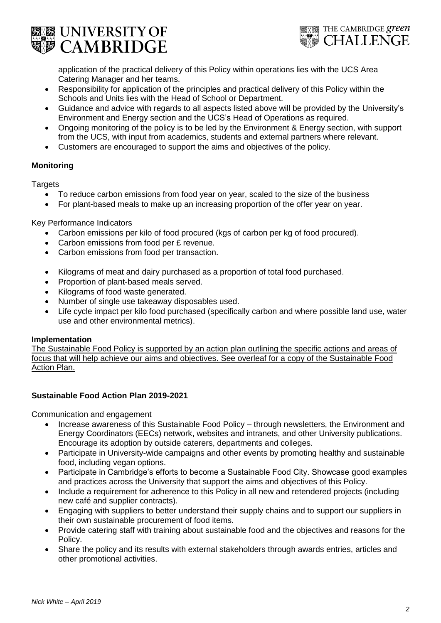



application of the practical delivery of this Policy within operations lies with the UCS Area Catering Manager and her teams.

- Responsibility for application of the principles and practical delivery of this Policy within the Schools and Units lies with the Head of School or Department.
- Guidance and advice with regards to all aspects listed above will be provided by the University's Environment and Energy section and the UCS's Head of Operations as required.
- Ongoing monitoring of the policy is to be led by the Environment & Energy section, with support from the UCS, with input from academics, students and external partners where relevant.
- Customers are encouraged to support the aims and objectives of the policy.

# **Monitoring**

**Targets** 

- To reduce carbon emissions from food year on year, scaled to the size of the business
- For plant-based meals to make up an increasing proportion of the offer year on year.

Key Performance Indicators

- Carbon emissions per kilo of food procured (kgs of carbon per kg of food procured).
- Carbon emissions from food per £ revenue.
- Carbon emissions from food per transaction.
- Kilograms of meat and dairy purchased as a proportion of total food purchased.
- Proportion of plant-based meals served.
- Kilograms of food waste generated.
- Number of single use takeaway disposables used.
- Life cycle impact per kilo food purchased (specifically carbon and where possible land use, water use and other environmental metrics).

# **Implementation**

The Sustainable Food Policy is supported by an action plan outlining the specific actions and areas of focus that will help achieve our aims and objectives. See overleaf for a copy of the Sustainable Food Action Plan.

# **Sustainable Food Action Plan 2019-2021**

Communication and engagement

- Increase awareness of this Sustainable Food Policy through newsletters, the Environment and Energy Coordinators (EECs) network, websites and intranets, and other University publications. Encourage its adoption by outside caterers, departments and colleges.
- Participate in University-wide campaigns and other events by promoting healthy and sustainable food, including vegan options.
- Participate in Cambridge's efforts to become a Sustainable Food City. Showcase good examples and practices across the University that support the aims and objectives of this Policy.
- Include a requirement for adherence to this Policy in all new and retendered projects (including new café and supplier contracts).
- Engaging with suppliers to better understand their supply chains and to support our suppliers in their own sustainable procurement of food items.
- Provide catering staff with training about sustainable food and the objectives and reasons for the Policy.
- Share the policy and its results with external stakeholders through awards entries, articles and other promotional activities.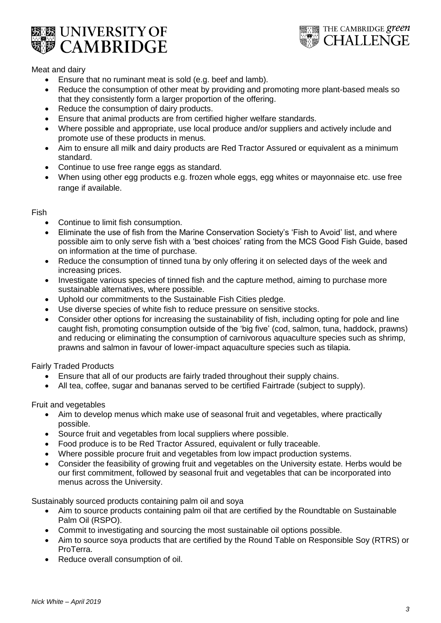



# Meat and dairy

- Ensure that no ruminant meat is sold (e.g. beef and lamb).
- Reduce the consumption of other meat by providing and promoting more plant-based meals so that they consistently form a larger proportion of the offering.
- Reduce the consumption of dairy products.
- Ensure that animal products are from certified higher welfare standards.
- Where possible and appropriate, use local produce and/or suppliers and actively include and promote use of these products in menus.
- Aim to ensure all milk and dairy products are Red Tractor Assured or equivalent as a minimum standard.
- Continue to use free range eggs as standard.
- When using other egg products e.g. frozen whole eggs, egg whites or mayonnaise etc. use free range if available.

#### Fish

- Continue to limit fish consumption.
- Eliminate the use of fish from the Marine Conservation Society's 'Fish to Avoid' list, and where possible aim to only serve fish with a 'best choices' rating from the MCS Good Fish Guide, based on information at the time of purchase.
- Reduce the consumption of tinned tuna by only offering it on selected days of the week and increasing prices.
- Investigate various species of tinned fish and the capture method, aiming to purchase more sustainable alternatives, where possible.
- Uphold our commitments to the Sustainable Fish Cities pledge.
- Use diverse species of white fish to reduce pressure on sensitive stocks.
- Consider other options for increasing the sustainability of fish, including opting for pole and line caught fish, promoting consumption outside of the 'big five' (cod, salmon, tuna, haddock, prawns) and reducing or eliminating the consumption of carnivorous aquaculture species such as shrimp, prawns and salmon in favour of lower-impact aquaculture species such as tilapia.

Fairly Traded Products

- Ensure that all of our products are fairly traded throughout their supply chains.
- All tea, coffee, sugar and bananas served to be certified Fairtrade (subject to supply).

Fruit and vegetables

- Aim to develop menus which make use of seasonal fruit and vegetables, where practically possible.
- Source fruit and vegetables from local suppliers where possible.
- Food produce is to be Red Tractor Assured, equivalent or fully traceable.
- Where possible procure fruit and vegetables from low impact production systems.
- Consider the feasibility of growing fruit and vegetables on the University estate. Herbs would be our first commitment, followed by seasonal fruit and vegetables that can be incorporated into menus across the University.

Sustainably sourced products containing palm oil and soya

- Aim to source products containing palm oil that are certified by the Roundtable on Sustainable Palm Oil (RSPO).
- Commit to investigating and sourcing the most sustainable oil options possible.
- Aim to source soya products that are certified by the Round Table on Responsible Soy (RTRS) or ProTerra.
- Reduce overall consumption of oil.